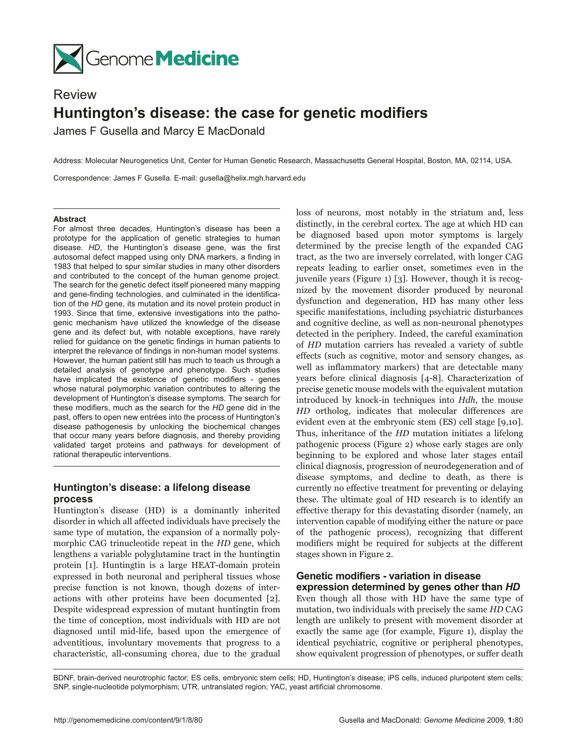

# **Huntington's disease: the case for genetic modifiers**

James F Gusella and Marcy E MacDonald

Address: Molecular Neurogenetics Unit, Center for Human Genetic Research, Massachusetts General Hospital, Boston, MA, 02114, USA.

Correspondence: James F Gusella. E-mail: gusella@helix.mgh.harvard.edu

#### **Abstract**

Review

For almost three decades, Huntington's disease has been a prototype for the application of genetic strategies to human disease. *HD*, the Huntington's disease gene, was the first autosomal defect mapped using only DNA markers, a finding in 1983 that helped to spur similar studies in many other disorders and contributed to the concept of the human genome project. The search for the genetic defect itself pioneered many mapping and gene-finding technologies, and culminated in the identification of the *HD* gene, its mutation and its novel protein product in 1993. Since that time, extensive investigations into the pathogenic mechanism have utilized the knowledge of the disease gene and its defect but, with notable exceptions, have rarely relied for guidance on the genetic findings in human patients to interpret the relevance of findings in non-human model systems. However, the human patient still has much to teach us through a detailed analysis of genotype and phenotype. Such studies have implicated the existence of genetic modifiers - genes whose natural polymorphic variation contributes to altering the development of Huntington's disease symptoms. The search for these modifiers, much as the search for the *HD* gene did in the past, offers to open new entrées into the process of Huntington's disease pathogenesis by unlocking the biochemical changes that occur many years before diagnosis, and thereby providing validated target proteins and pathways for development of rational therapeutic interventions.

# **Huntington's disease: a lifelong disease process**

Huntington's disease (HD) is a dominantly inherited disorder in which all affected individuals have precisely the same type of mutation, the expansion of a normally polymorphic CAG trinucleotide repeat in the *HD* gene, which lengthens a variable polyglutamine tract in the huntingtin protein [1]. Huntingtin is a large HEAT-domain protein expressed in both neuronal and peripheral tissues whose precise function is not known, though dozens of interactions with other proteins have been documented [2]. Despite widespread expression of mutant huntingtin from the time of conception, most individuals with HD are not diagnosed until mid-life, based upon the emergence of adventitious, involuntary movements that progress to a characteristic, all-consuming chorea, due to the gradual

loss of neurons, most notably in the striatum and, less distinctly, in the cerebral cortex. The age at which HD can be diagnosed based upon motor symptoms is largely determined by the precise length of the expanded CAG tract, as the two are inversely correlated, with longer CAG repeats leading to earlier onset, sometimes even in the juvenile years (Figure 1) [3]. However, though it is recognized by the movement disorder produced by neuronal dysfunction and degeneration, HD has many other less specific manifestations, including psychiatric disturbances and cognitive decline, as well as non-neuronal phenotypes detected in the periphery. Indeed, the careful examination of *HD* mutation carriers has revealed a variety of subtle effects (such as cognitive, motor and sensory changes, as well as inflammatory markers) that are detectable many years before clinical diagnosis [4-8]. Characterization of precise genetic mouse models with the equivalent mutation introduced by knock-in techniques into *Hdh*, the mouse *HD* ortholog, indicates that molecular differences are evident even at the embryonic stem (ES) cell stage [9,10]. Thus, inheritance of the *HD* mutation initiates a lifelong pathogenic process (Figure 2) whose early stages are only beginning to be explored and whose later stages entail clinical diagnosis, progression of neurodegeneration and of disease symptoms, and decline to death, as there is currently no effective treatment for preventing or delaying these. The ultimate goal of HD research is to identify an effective therapy for this devastating disorder (namely, an intervention capable of modifying either the nature or pace of the pathogenic process), recognizing that different modifiers might be required for subjects at the different stages shown in Figure 2.

### **Genetic modifiers - variation in disease expression determined by genes other than** *HD*

Even though all those with HD have the same type of mutation, two individuals with precisely the same *HD* CAG length are unlikely to present with movement disorder at exactly the same age (for example, Figure 1), display the identical psychiatric, cognitive or peripheral phenotypes, show equivalent progression of phenotypes, or suffer death

BDNF, brain-derived neurotrophic factor; ES cells, embryonic stem cells; HD, Huntington's disease; iPS cells, induced pluripotent stem cells; SNP, single-nucleotide polymorphism; UTR, untranslated region; YAC, yeast artificial chromosome.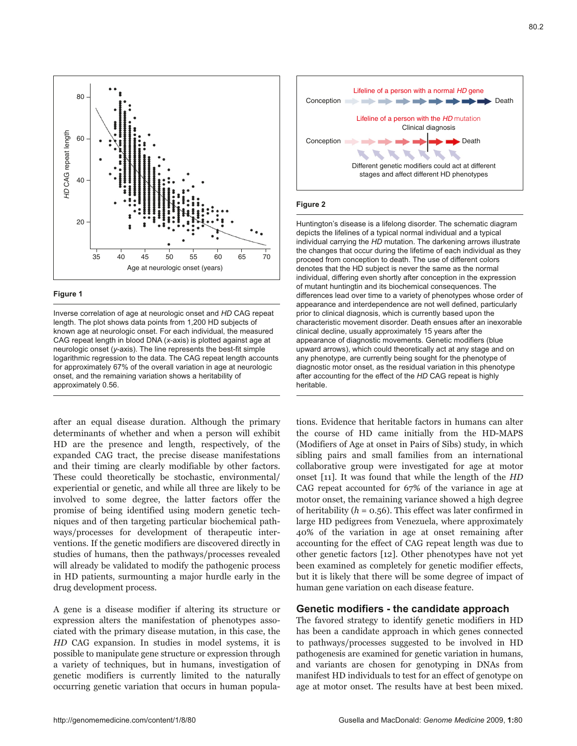



Inverse correlation of age at neurologic onset and *HD* CAG repeat length. The plot shows data points from 1,200 HD subjects of known age at neurologic onset. For each individual, the measured CAG repeat length in blood DNA (*x*-axis) is plotted against age at neurologic onset (*y*-axis). The line represents the best-fit simple logarithmic regression to the data. The CAG repeat length accounts for approximately 67% of the overall variation in age at neurologic onset, and the remaining variation shows a heritability of approximately 0.56.

after an equal disease duration. Although the primary determinants of whether and when a person will exhibit HD are the presence and length, respectively, of the expanded CAG tract, the precise disease manifestations and their timing are clearly modifiable by other factors. These could theoretically be stochastic, environmental/ experiential or genetic, and while all three are likely to be involved to some degree, the latter factors offer the promise of being identified using modern genetic techniques and of then targeting particular biochemical pathways/processes for development of therapeutic interventions. If the genetic modifiers are discovered directly in studies of humans, then the pathways/processes revealed will already be validated to modify the pathogenic process in HD patients, surmounting a major hurdle early in the drug development process.

A gene is a disease modifier if altering its structure or expression alters the manifestation of phenotypes associated with the primary disease mutation, in this case, the *HD* CAG expansion. In studies in model systems, it is possible to manipulate gene structure or expression through a variety of techniques, but in humans, investigation of genetic modifiers is currently limited to the naturally occurring genetic variation that occurs in human popula-



#### **Figure 2**

Huntington's disease is a lifelong disorder. The schematic diagram depicts the lifelines of a typical normal individual and a typical individual carrying the *HD* mutation. The darkening arrows illustrate the changes that occur during the lifetime of each individual as they proceed from conception to death. The use of different colors denotes that the HD subject is never the same as the normal individual, differing even shortly after conception in the expression of mutant huntingtin and its biochemical consequences. The differences lead over time to a variety of phenotypes whose order of appearance and interdependence are not well defined, particularly prior to clinical diagnosis, which is currently based upon the characteristic movement disorder. Death ensues after an inexorable clinical decline, usually approximately 15 years after the appearance of diagnostic movements. Genetic modifiers (blue upward arrows), which could theoretically act at any stage and on any phenotype, are currently being sought for the phenotype of diagnostic motor onset, as the residual variation in this phenotype after accounting for the effect of the *HD* CAG repeat is highly heritable.

tions. Evidence that heritable factors in humans can alter the course of HD came initially from the HD-MAPS (Modifiers of Age at onset in Pairs of Sibs) study, in which sibling pairs and small families from an international collaborative group were investigated for age at motor onset [11]. It was found that while the length of the *HD* CAG repeat accounted for 67% of the variance in age at motor onset, the remaining variance showed a high degree of heritability  $(h = 0.56)$ . This effect was later confirmed in large HD pedigrees from Venezuela, where approximately 40% of the variation in age at onset remaining after accounting for the effect of CAG repeat length was due to other genetic factors [12]. Other phenotypes have not yet been examined as completely for genetic modifier effects, but it is likely that there will be some degree of impact of human gene variation on each disease feature.

# **Genetic modifiers - the candidate approach**

The favored strategy to identify genetic modifiers in HD has been a candidate approach in which genes connected to pathways/processes suggested to be involved in HD pathogenesis are examined for genetic variation in humans, and variants are chosen for genotyping in DNAs from manifest HD individuals to test for an effect of genotype on age at motor onset. The results have at best been mixed.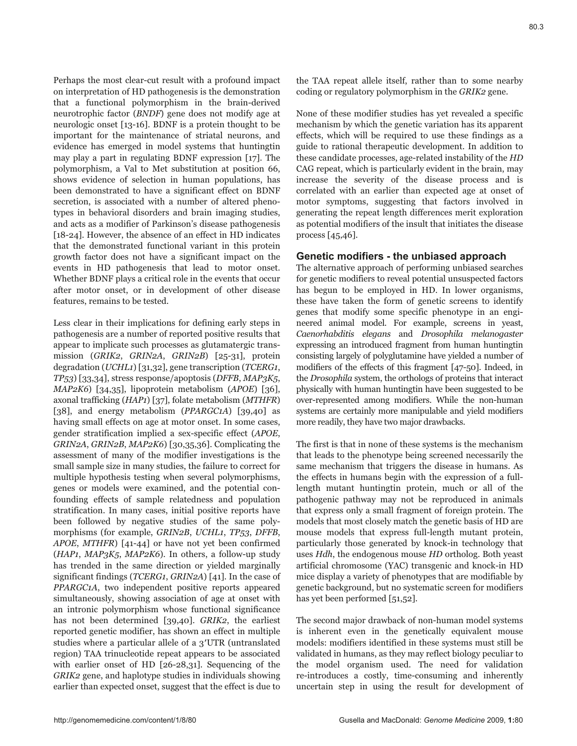Perhaps the most clear-cut result with a profound impact on interpretation of HD pathogenesis is the demonstration that a functional polymorphism in the brain-derived neuro trophic factor (*BNDF*) gene does not modify age at neurologic onset [13-16]. BDNF is a protein thought to be important for the maintenance of striatal neurons, and evidence has emerged in model systems that huntingtin may play a part in regulating BDNF expression [17]. The polymorphism, a Val to Met substitution at position 66, shows evidence of selection in human populations, has been demonstrated to have a significant effect on BDNF secretion, is associated with a number of altered phenotypes in behavioral disorders and brain imaging studies, and acts as a modifier of Parkinson's disease pathogenesis [18-24]. However, the absence of an effect in HD indicates that the demonstrated functional variant in this protein growth factor does not have a significant impact on the events in HD pathogenesis that lead to motor onset. Whether BDNF plays a critical role in the events that occur after motor onset, or in development of other disease features, remains to be tested.

Less clear in their implications for defining early steps in pathogenesis are a number of reported positive results that appear to implicate such processes as glutamatergic transmission (*GRIK2*, *GRIN2A*, *GRIN2B*) [25-31], protein degradation (*UCHL1*) [31,32], gene transcription (*TCERG1*, *TP53*) [33,34], stress response/apoptosis (*DFFB*, *MAP3K5*, *MAP2K6*) [34,35], lipoprotein metabolism (*APOE*) [36], axonal trafficking (*HAP1*) [37], folate metabolism (*MTHFR*) [38], and energy metabolism (*PPARGC1A*) [39,40] as having small effects on age at motor onset. In some cases, gender stratification implied a sex-specific effect (*APOE*, *GRIN2A*, *GRIN2B*, *MAP2K6*) [30,35,36]. Complicating the assessment of many of the modifier investigations is the small sample size in many studies, the failure to correct for multiple hypothesis testing when several polymorphisms, genes or models were examined, and the potential confounding effects of sample relatedness and population stratification. In many cases, initial positive reports have been followed by negative studies of the same polymorphisms (for example, *GRIN2B*, *UCHL1*, *TP53*, *DFFB*, *APOE*, *MTHFR*) [41-44] or have not yet been confirmed (*HAP1*, *MAP3K5*, *MAP2K6*). In others, a follow-up study has trended in the same direction or yielded marginally significant findings (*TCERG1*, *GRIN2A*) [41]. In the case of *PPARGC1A*, two independent positive reports appeared simultaneously, showing association of age at onset with an intronic polymorphism whose functional significance has not been determined [39,40]. *GRIK2*, the earliest reported genetic modifier, has shown an effect in multiple studies where a particular allele of a 3′UTR (untranslated region) TAA trinucleotide repeat appears to be associated with earlier onset of HD [26-28,31]. Sequencing of the *GRIK2* gene, and haplotype studies in individuals showing earlier than expected onset, suggest that the effect is due to

the TAA repeat allele itself, rather than to some nearby coding or regulatory polymorphism in the *GRIK2* gene.

None of these modifier studies has yet revealed a specific mechanism by which the genetic variation has its apparent effects, which will be required to use these findings as a guide to rational therapeutic development. In addition to these candidate processes, age-related instability of the *HD* CAG repeat, which is particularly evident in the brain, may increase the severity of the disease process and is correlated with an earlier than expected age at onset of motor symptoms, suggesting that factors involved in generating the repeat length differences merit exploration as potential modifiers of the insult that initiates the disease process [45,46].

#### **Genetic modifiers - the unbiased approach**

The alternative approach of performing unbiased searches for genetic modifiers to reveal potential unsuspected factors has begun to be employed in HD. In lower organisms, these have taken the form of genetic screens to identify genes that modify some specific phenotype in an engineered animal model. For example, screens in yeast, *Caenorhabditis elegans* and *Drosophila melanogaster* expressing an introduced fragment from human huntingtin consisting largely of polyglutamine have yielded a number of modifiers of the effects of this fragment [47-50]. Indeed, in the *Drosophila* system, the orthologs of proteins that interact physically with human huntingtin have been suggested to be over-represented among modifiers. While the non-human systems are certainly more manipulable and yield modifiers more readily, they have two major drawbacks.

The first is that in none of these systems is the mechanism that leads to the phenotype being screened necessarily the same mechanism that triggers the disease in humans. As the effects in humans begin with the expression of a fulllength mutant huntingtin protein, much or all of the pathogenic pathway may not be reproduced in animals that express only a small fragment of foreign protein. The models that most closely match the genetic basis of HD are mouse models that express full-length mutant protein, particularly those generated by knock-in technology that uses *Hdh*, the endogenous mouse *HD* ortholog. Both yeast artificial chromosome (YAC) transgenic and knock-in HD mice display a variety of phenotypes that are modifiable by genetic background, but no systematic screen for modifiers has yet been performed [51,52].

The second major drawback of non-human model systems is inherent even in the genetically equivalent mouse models: modifiers identified in these systems must still be validated in humans, as they may reflect biology peculiar to the model organism used. The need for validation re-introduces a costly, time-consuming and inherently uncertain step in using the result for development of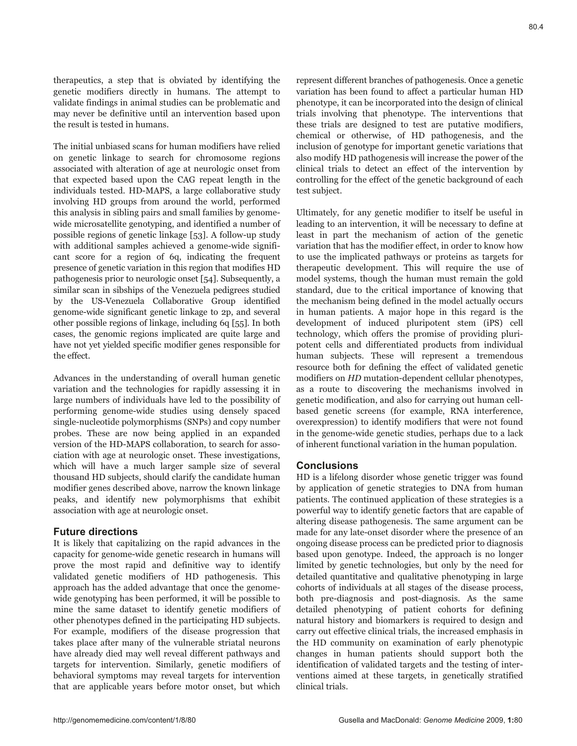therapeutics, a step that is obviated by identifying the genetic modifiers directly in humans. The attempt to validate findings in animal studies can be problematic and may never be definitive until an intervention based upon the result is tested in humans.

The initial unbiased scans for human modifiers have relied on genetic linkage to search for chromosome regions associated with alteration of age at neurologic onset from that expected based upon the CAG repeat length in the individuals tested. HD-MAPS, a large collaborative study involving HD groups from around the world, performed this analysis in sibling pairs and small families by genomewide microsatellite genotyping, and identified a number of possible regions of genetic linkage [53]. A follow-up study with additional samples achieved a genome-wide significant score for a region of 6q, indicating the frequent presence of genetic variation in this region that modifies HD pathogenesis prior to neurologic onset [54]. Subsequently, a similar scan in sibships of the Venezuela pedigrees studied by the US-Venezuela Collaborative Group identified genome-wide significant genetic linkage to 2p, and several other possible regions of linkage, including 6q [55]. In both cases, the genomic regions implicated are quite large and have not yet yielded specific modifier genes responsible for the effect.

Advances in the understanding of overall human genetic variation and the technologies for rapidly assessing it in large numbers of individuals have led to the possibility of performing genome-wide studies using densely spaced single-nucleotide polymorphisms (SNPs) and copy number probes. These are now being applied in an expanded version of the HD-MAPS collaboration, to search for association with age at neurologic onset. These investigations, which will have a much larger sample size of several thousand HD subjects, should clarify the candidate human modifier genes described above, narrow the known linkage peaks, and identify new polymorphisms that exhibit association with age at neurologic onset.

#### **Future directions**

It is likely that capitalizing on the rapid advances in the capacity for genome-wide genetic research in humans will prove the most rapid and definitive way to identify validated genetic modifiers of HD pathogenesis. This approach has the added advantage that once the genomewide genotyping has been performed, it will be possible to mine the same dataset to identify genetic modifiers of other phenotypes defined in the participating HD subjects. For example, modifiers of the disease progression that takes place after many of the vulnerable striatal neurons have already died may well reveal different pathways and targets for intervention. Similarly, genetic modifiers of behavioral symptoms may reveal targets for intervention that are applicable years before motor onset, but which

represent different branches of pathogenesis. Once a genetic variation has been found to affect a particular human HD phenotype, it can be incorporated into the design of clinical trials involving that phenotype. The interventions that these trials are designed to test are putative modifiers, chemical or otherwise, of HD pathogenesis, and the inclusion of genotype for important genetic variations that also modify HD pathogenesis will increase the power of the clinical trials to detect an effect of the intervention by controlling for the effect of the genetic background of each test subject.

Ultimately, for any genetic modifier to itself be useful in leading to an intervention, it will be necessary to define at least in part the mechanism of action of the genetic variation that has the modifier effect, in order to know how to use the implicated pathways or proteins as targets for therapeutic development. This will require the use of model systems, though the human must remain the gold standard, due to the critical importance of knowing that the mechanism being defined in the model actually occurs in human patients. A major hope in this regard is the development of induced pluripotent stem (iPS) cell technology, which offers the promise of providing pluripotent cells and differentiated products from individual human subjects. These will represent a tremendous resource both for defining the effect of validated genetic modifiers on *HD* mutation-dependent cellular phenotypes, as a route to discovering the mechanisms involved in genetic modification, and also for carrying out human cellbased genetic screens (for example, RNA interference, overexpression) to identify modifiers that were not found in the genome-wide genetic studies, perhaps due to a lack of inherent functional variation in the human population.

# **Conclusions**

HD is a lifelong disorder whose genetic trigger was found by application of genetic strategies to DNA from human patients. The continued application of these strategies is a powerful way to identify genetic factors that are capable of altering disease pathogenesis. The same argument can be made for any late-onset disorder where the presence of an ongoing disease process can be predicted prior to diagnosis based upon genotype. Indeed, the approach is no longer limited by genetic technologies, but only by the need for detailed quantitative and qualitative phenotyping in large cohorts of individuals at all stages of the disease process, both pre-diagnosis and post-diagnosis. As the same detailed phenotyping of patient cohorts for defining natural history and biomarkers is required to design and carry out effective clinical trials, the increased emphasis in the HD community on examination of early phenotypic changes in human patients should support both the identification of validated targets and the testing of interventions aimed at these targets, in genetically stratified clinical trials.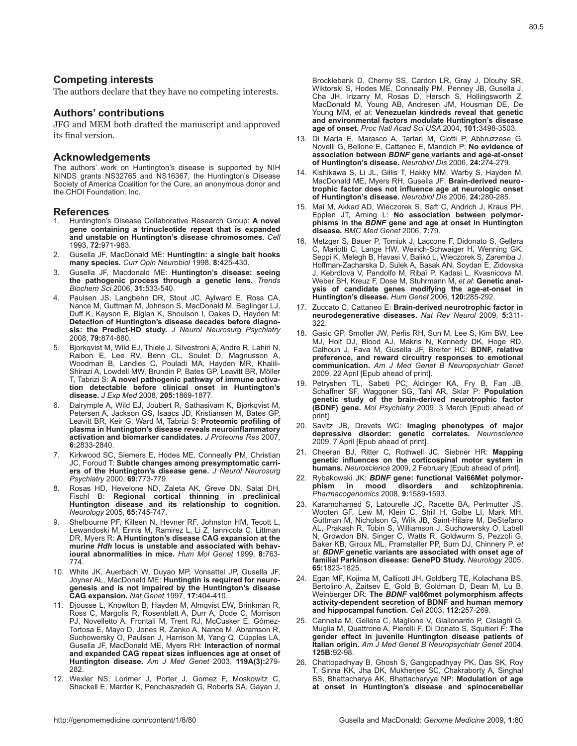# **Competing interests**

The authors declare that they have no competing interests.

#### **Authors' contributions**

JFG and MEM both drafted the manuscript and approved its final version.

#### **Acknowledgements**

The authors' work on Huntington's disease is supported by NIH NINDS grants NS32765 and NS16367, the Huntington's Disease Society of America Coalition for the Cure, an anonymous donor and the CHDI Foundation, Inc.

#### **References**

- 1. Huntington's Disease Collaborative Research Group: **A novel gene containing a trinucleotide repeat that is expanded and unstable on Huntington's disease chromosomes.** *Cell*  1993, **72:**971-983.
- 2. Gusella JF, MacDonald ME: **Huntingtin: a single bait hooks many species.** *Curr Opin Neurobiol* 1998, **8:**425-430.
- 3. Gusella JF, Macdonald ME: **Huntington's disease: seeing the pathogenic process through a genetic lens.** *Trends Biochem Sci* 2006, **31:**533-540.
- 4. Paulsen JS, Langbehn DR, Stout JC, Aylward E, Ross CA, Nance M, Guttman M, Johnson S, MacDonald M, Beglinger LJ, Duff K, Kayson E, Biglan K, Shoulson I, Oakes D, Hayden M: **Detection of Huntington's disease decades before diagnosis: the Predict-HD study.** *J Neurol Neurosurg Psychiatry*  2008, **79:**874-880.
- 5. Bjorkqvist M, Wild EJ, Thiele J, Silvestroni A, Andre R, Lahiri N, Raibon E, Lee RV, Benn CL, Soulet D, Magnusson A, Woodman B, Landles C, Pouladi MA, Hayden MR, Khalili-Shirazi A, Lowdell MW, Brundin P, Bates GP, Leavitt BR, Möller T, Tabrizi S: **A novel pathogenic pathway of immune activation detectable before clinical onset in Huntington's disease.** *J Exp Med* 2008, **205:**1869-1877.
- 6. Dalrymple A, Wild EJ, Joubert R, Sathasivam K, Bjorkqvist M, Petersen A, Jackson GS, Isaacs JD, Kristiansen M, Bates GP, Leavitt BR, Keir G, Ward M, Tabrizi S: **Proteomic profiling of plasma in Huntington's disease reveals neuroinflammatory activation and biomarker candidates.** *J Proteome Res* 2007, **6:** 2833-2840.
- 7. Kirkwood SC, Siemers E, Hodes ME, Conneally PM, Christian JC, Foroud T: **Subtle changes among presymptomatic carriers of the Huntington's disease gene.** *J Neurol Neurosurg Psychiatry* 2000, **69:**773-779.
- 8. Rosas HD, Hevelone ND, Zaleta AK, Greve DN, Salat DH, Fischl B: **Regional cortical thinning in preclinical Huntington disease and its relationship to cognition.**  *Neurology* 2005, **65:**745-747.
- 9. Shelbourne PF, Killeen N, Hevner RF, Johnston HM, Tecott L, Lewandoski M, Ennis M, Ramirez L, Li Z, Iannicola C, Littman DR, Myers R: **A Huntington's disease CAG expansion at the murine** *Hdh* **locus is unstable and associated with behavioural abnormalities in mice.** *Hum Mol Genet* 1999, **8:**763- 774.
- 10. White JK, Auerbach W, Duyao MP, Vonsattel JP, Gusella JF, Joyner AL, MacDonald ME: **Huntingtin is required for neurogenesis and is not impaired by the Huntington's disease CAG expansion.** *Nat Genet* 1997, **17:**404-410.
- 11. Djousse L, Knowlton B, Hayden M, Almqvist EW, Brinkman R, Ross C, Margolis R, Rosenblatt A, Durr A, Dode C, Morrison PJ, Novelletto A, Frontali M, Trent RJ, McCusker E, Gómez-Tortosa E, Mayo D, Jones R, Zanko A, Nance M, Abramson R, Suchowersky O, Paulsen J, Harrison M, Yang Q, Cupples LA, Gusella JF, MacDonald ME, Myers RH: **Interaction of normal and expanded CAG repeat sizes influences age at onset of Huntington disease.** *Am J Med Genet* 2003, **119A(3):**279- 282.
- 12. Wexler NS, Lorimer J, Porter J, Gomez F, Moskowitz C, Shackell E, Marder K, Penchaszadeh G, Roberts SA, Gayan J,

Brocklebank D, Cherny SS, Cardon LR, Gray J, Dlouhy SR, Wiktorski S, Hodes ME, Conneally PM, Penney JB, Gusella J, Cha JH, Irizarry M, Rosas D, Hersch S, Hollingsworth Z, MacDonald M, Young AB, Andresen JM, Housman DE, De Young MM, *et al*: **Venezuelan kindreds reveal that genetic and environmental factors modulate Huntington's disease age of onset.** *Proc Natl Acad Sci USA* 2004, **101:**3498-3503.

- 13. Di Maria E, Marasco A, Tartari M, Ciotti P, Abbruzzese G, Novelli G, Bellone E, Cattaneo E, Mandich P: **No evidence of association between** *BDNF* **gene variants and age-at-onset of Huntington's disease.** *Neurobiol Dis* 2006, **24:**274-279.
- 14. Kishikawa S, Li JL, Gillis T, Hakky MM, Warby S, Hayden M, MacDonald ME, Myers RH, Gusella JF: **Brain-derived neurotrophic factor does not influence age at neurologic onset of Huntington's disease.** *Neurobiol Dis* 2006, **24:**280-285.
- 15. Mai M, Akkad AD, Wieczorek S, Saft C, Andrich J, Kraus PH, Epplen JT, Arning L: **No association between polymorphisms in the** *BDNF* **gene and age at onset in Huntington disease.** *BMC Med Genet* 2006, **7:**79.
- 16. Metzger S, Bauer P, Tomiuk J, Laccone F, Didonato S, Gellera C, Mariotti C, Lange HW, Weirich-Schwaiger H, Wenning GK, Seppi K, Melegh B, Havasi V, Balikó L, Wieczorek S, Zaremba J, Hoffman-Zacharska D, Sulek A, Basak AN, Soydan E, Zidovska J, Kebrdlova V, Pandolfo M, Ribaï P, Kadasi L, Kvasnicova M, Weber BH, Kreuz F, Dose M, Stuhrmann M, *et al*: **Genetic analysis of candidate genes modifying the age-at-onset in Huntington's disease.** *Hum Genet* 2006, **120:**285-292.
- 17. Zuccato C, Cattaneo E: **Brain-derived neurotrophic factor in neurodegenerative diseases.** *Nat Rev Neurol* 2009, **5:**311- 322.
- 18. Gasic GP, Smoller JW, Perlis RH, Sun M, Lee S, Kim BW, Lee MJ, Holt DJ, Blood AJ, Makris N, Kennedy DK, Hoge RD, Calhoun J, Fava M, Gusella JF, Breiter HC: **BDNF, relative preference, and reward circuitry responses to emotional communication.** *Am J Med Genet B Neuropsychiatr Genet*  2009, 22 April [Epub ahead of print].
- 19. Petryshen TL, Sabeti PC, Aldinger KA, Fry B, Fan JB, Schaffner SF, Waggoner SG, Tahl AR, Sklar P: **Population genetic study of the brain-derived neurotrophic factor (BDNF) gene.** *Mol Psychiatry* 2009, 3 March [Epub ahead of print].
- 20. Savitz JB, Drevets WC: **Imaging phenotypes of major depressive disorder: genetic correlates.** *Neuroscience*  2009, 7 April [Epub ahead of print].
- 21. Cheeran BJ, Ritter C, Rothwell JC, Siebner HR: **Mapping genetic influences on the corticospinal motor system in humans.** *Neuroscience* 2009, 2 February [Epub ahead of print].
- 22. Rybakowski JK: *BDNF* **gene: functional Val66Met polymorphism in mood disorders and schizophrenia.**  *Pharmacogenomics* 2008, **9:**1589-1593.
- 23. Karamohamed S, Latourelle JC, Racette BA, Perlmutter JS, Wooten GF, Lew M, Klein C, Shill H, Golbe LI, Mark MH, Guttman M, Nicholson G, Wilk JB, Saint-Hilaire M, DeStefano AL, Prakash R, Tobin S, Williamson J, Suchowersky O, Labell N, Growdon BN, Singer C, Watts R, Goldwurm S, Pezzoli G, Baker KB, Giroux ML, Pramstaller PP, Burn DJ, Chinnery P, *et al*: *BDNF* **genetic variants are associated with onset age of familial Parkinson disease: GenePD Study.** *Neurology* 2005, **65:** 1823-1825.
- 24. Egan MF, Kojima M, Callicott JH, Goldberg TE, Kolachana BS, Bertolino A, Zaitsev E, Gold B, Goldman D, Dean M, Lu B, Weinberger DR: **The** *BDNF* **val66met polymorphism affects activity-dependent secretion of BDNF and human memory and hippocampal function.** *Cell* 2003, **112:**257-269.
- 25. Cannella M, Gellera C, Maglione V, Giallonardo P, Cislaghi G, Muglia M, Quattrone A, Pierelli F, Di Donato S, Squitieri F: **The gender effect in juvenile Huntington disease patients of Italian origin.** *Am J Med Genet B Neuropsychiatr Genet* 2004, **125B:**92-98.
- 26. Chattopadhyay B, Ghosh S, Gangopadhyay PK, Das SK, Roy T, Sinha KK, Jha DK, Mukherjee SC, Chakraborty A, Singhal BS, Bhattacharya AK, Bhattacharyya NP: **Modulation of age at onset in Huntington's disease and spinocerebellar**